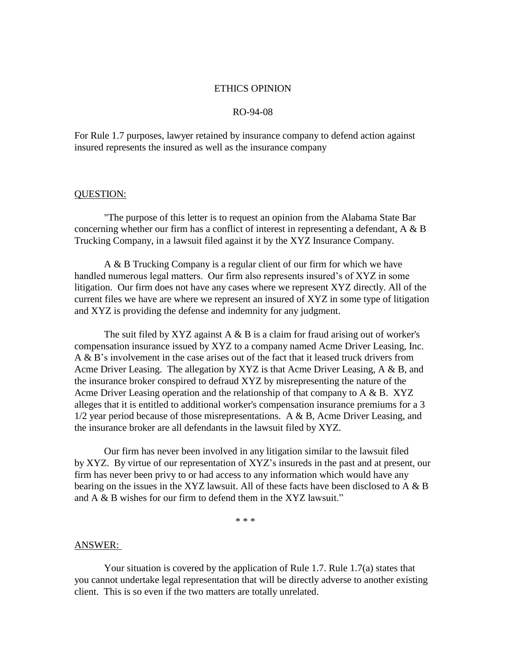## ETHICS OPINION

## RO-94-08

For Rule 1.7 purposes, lawyer retained by insurance company to defend action against insured represents the insured as well as the insurance company

## QUESTION:

"The purpose of this letter is to request an opinion from the Alabama State Bar concerning whether our firm has a conflict of interest in representing a defendant, A & B Trucking Company, in a lawsuit filed against it by the XYZ Insurance Company.

A & B Trucking Company is a regular client of our firm for which we have handled numerous legal matters. Our firm also represents insured's of XYZ in some litigation. Our firm does not have any cases where we represent XYZ directly. All of the current files we have are where we represent an insured of XYZ in some type of litigation and XYZ is providing the defense and indemnity for any judgment.

The suit filed by XYZ against  $A \& B$  is a claim for fraud arising out of worker's compensation insurance issued by XYZ to a company named Acme Driver Leasing, Inc. A & B's involvement in the case arises out of the fact that it leased truck drivers from Acme Driver Leasing. The allegation by XYZ is that Acme Driver Leasing, A & B, and the insurance broker conspired to defraud XYZ by misrepresenting the nature of the Acme Driver Leasing operation and the relationship of that company to  $A \& B$ . XYZ alleges that it is entitled to additional worker's compensation insurance premiums for a 3 1/2 year period because of those misrepresentations. A & B, Acme Driver Leasing, and the insurance broker are all defendants in the lawsuit filed by XYZ.

Our firm has never been involved in any litigation similar to the lawsuit filed by XYZ. By virtue of our representation of XYZ's insureds in the past and at present, our firm has never been privy to or had access to any information which would have any bearing on the issues in the XYZ lawsuit. All of these facts have been disclosed to A & B and A & B wishes for our firm to defend them in the XYZ lawsuit."

 $* * *$ 

## ANSWER:

Your situation is covered by the application of Rule 1.7. Rule 1.7(a) states that you cannot undertake legal representation that will be directly adverse to another existing client. This is so even if the two matters are totally unrelated.